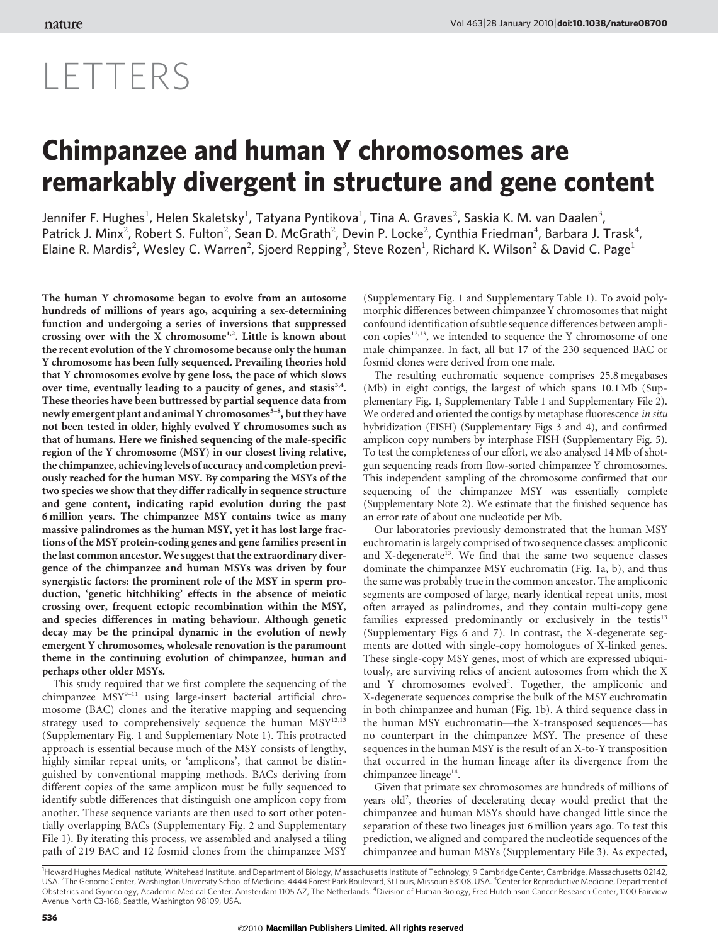## LETTERS

## Chimpanzee and human Y chromosomes are remarkably divergent in structure and gene content

Jennifer F. Hughes<sup>1</sup>, Helen Skaletsky<sup>1</sup>, Tatyana Pyntikova<sup>1</sup>, Tina A. Graves<sup>2</sup>, Saskia K. M. van Daalen<sup>3</sup>, Patrick J. Minx<sup>2</sup>, Robert S. Fulton<sup>2</sup>, Sean D. McGrath<sup>2</sup>, Devin P. Locke<sup>2</sup>, Cynthia Friedman<sup>4</sup>, Barbara J. Trask<sup>4</sup>, Elaine R. Mardis<sup>2</sup>, Wesley C. Warren<sup>2</sup>, Sjoerd Repping<sup>3</sup>, Steve Rozen<sup>1</sup>, Richard K. Wilson<sup>2</sup> & David C. Page<sup>1</sup>

The human Y chromosome began to evolve from an autosome hundreds of millions of years ago, acquiring a sex-determining function and undergoing a series of inversions that suppressed crossing over with the X chromosome<sup>1,2</sup>. Little is known about the recent evolution of the Y chromosome because only the human Y chromosome has been fully sequenced. Prevailing theories hold that Y chromosomes evolve by gene loss, the pace of which slows over time, eventually leading to a paucity of genes, and stasis<sup>3,4</sup>. These theories have been buttressed by partial sequence data from newly emergent plant and animal Y chromosomes<sup>5-8</sup>, but they have not been tested in older, highly evolved Y chromosomes such as that of humans. Here we finished sequencing of the male-specific region of the Y chromosome (MSY) in our closest living relative, the chimpanzee, achieving levels of accuracy and completion previously reached for the human MSY. By comparing the MSYs of the two species we show that they differ radically in sequence structure and gene content, indicating rapid evolution during the past 6 million years. The chimpanzee MSY contains twice as many massive palindromes as the human MSY, yet it has lost large fractions of the MSY protein-coding genes and gene families present in the last common ancestor. We suggest that the extraordinary divergence of the chimpanzee and human MSYs was driven by four synergistic factors: the prominent role of the MSY in sperm production, 'genetic hitchhiking' effects in the absence of meiotic crossing over, frequent ectopic recombination within the MSY, and species differences in mating behaviour. Although genetic decay may be the principal dynamic in the evolution of newly emergent Y chromosomes, wholesale renovation is the paramount theme in the continuing evolution of chimpanzee, human and perhaps other older MSYs.

This study required that we first complete the sequencing of the chimpanzee MSY<sup>9-11</sup> using large-insert bacterial artificial chromosome (BAC) clones and the iterative mapping and sequencing strategy used to comprehensively sequence the human MSY<sup>12,13</sup> (Supplementary Fig. 1 and Supplementary Note 1). This protracted approach is essential because much of the MSY consists of lengthy, highly similar repeat units, or 'amplicons', that cannot be distinguished by conventional mapping methods. BACs deriving from different copies of the same amplicon must be fully sequenced to identify subtle differences that distinguish one amplicon copy from another. These sequence variants are then used to sort other potentially overlapping BACs (Supplementary Fig. 2 and Supplementary File 1). By iterating this process, we assembled and analysed a tiling path of 219 BAC and 12 fosmid clones from the chimpanzee MSY

(Supplementary Fig. 1 and Supplementary Table 1). To avoid polymorphic differences between chimpanzee Y chromosomes that might confound identification of subtle sequence differences between amplicon copies<sup>12,13</sup>, we intended to sequence the Y chromosome of one male chimpanzee. In fact, all but 17 of the 230 sequenced BAC or fosmid clones were derived from one male.

The resulting euchromatic sequence comprises 25.8 megabases (Mb) in eight contigs, the largest of which spans 10.1 Mb (Supplementary Fig. 1, Supplementary Table 1 and Supplementary File 2). We ordered and oriented the contigs by metaphase fluorescence in situ hybridization (FISH) (Supplementary Figs 3 and 4), and confirmed amplicon copy numbers by interphase FISH (Supplementary Fig. 5). To test the completeness of our effort, we also analysed 14 Mb of shotgun sequencing reads from flow-sorted chimpanzee Y chromosomes. This independent sampling of the chromosome confirmed that our sequencing of the chimpanzee MSY was essentially complete (Supplementary Note 2). We estimate that the finished sequence has an error rate of about one nucleotide per Mb.

Our laboratories previously demonstrated that the human MSY euchromatin is largely comprised of two sequence classes: ampliconic and X-degenerate<sup>13</sup>. We find that the same two sequence classes dominate the chimpanzee MSY euchromatin (Fig. 1a, b), and thus the same was probably true in the common ancestor. The ampliconic segments are composed of large, nearly identical repeat units, most often arrayed as palindromes, and they contain multi-copy gene families expressed predominantly or exclusively in the testis $13$ (Supplementary Figs 6 and 7). In contrast, the X-degenerate segments are dotted with single-copy homologues of X-linked genes. These single-copy MSY genes, most of which are expressed ubiquitously, are surviving relics of ancient autosomes from which the X and Y chromosomes evolved<sup>2</sup>. Together, the ampliconic and X-degenerate sequences comprise the bulk of the MSY euchromatin in both chimpanzee and human (Fig. 1b). A third sequence class in the human MSY euchromatin—the X-transposed sequences—has no counterpart in the chimpanzee MSY. The presence of these sequences in the human MSY is the result of an X-to-Y transposition that occurred in the human lineage after its divergence from the chimpanzee lineage<sup>14</sup>.

Given that primate sex chromosomes are hundreds of millions of years old<sup>2</sup>, theories of decelerating decay would predict that the chimpanzee and human MSYs should have changed little since the separation of these two lineages just 6 million years ago. To test this prediction, we aligned and compared the nucleotide sequences of the chimpanzee and human MSYs (Supplementary File 3). As expected,

<sup>1</sup>Howard Hughes Medical Institute, Whitehead Institute, and Department of Biology, Massachusetts Institute of Technology, 9 Cambridge Center, Cambridge, Massachusetts 02142, USA. <sup>2</sup>The Genome Center, Washington University School of Medicine, 4444 Forest Park Boulevard, St Louis, Missouri 63108, USA. <sup>3</sup>Center for Reproductive Medicine, Department of<br>Obstetrics and Gynecology, Academic Medical Avenue North C3-168, Seattle, Washington 98109, USA.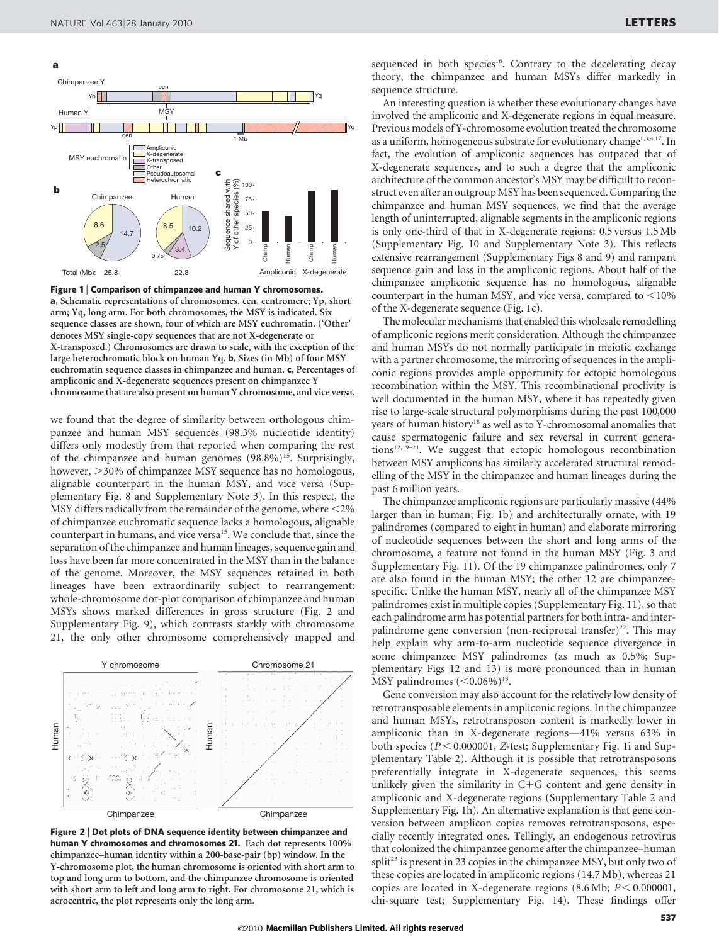

Figure 1 | Comparison of chimpanzee and human Y chromosomes. a, Schematic representations of chromosomes. cen, centromere; Yp, short arm; Yq, long arm. For both chromosomes, the MSY is indicated. Six sequence classes are shown, four of which are MSY euchromatin. ('Other' denotes MSY single-copy sequences that are not X-degenerate or X-transposed.) Chromosomes are drawn to scale, with the exception of the large heterochromatic block on human Yq. b, Sizes (in Mb) of four MSY euchromatin sequence classes in chimpanzee and human. c, Percentages of ampliconic and X-degenerate sequences present on chimpanzee Y chromosome that are also present on human Y chromosome, and vice versa.

we found that the degree of similarity between orthologous chimpanzee and human MSY sequences (98.3% nucleotide identity) differs only modestly from that reported when comparing the rest of the chimpanzee and human genomes  $(98.8\%)^{15}$ . Surprisingly, however,  $>$ 30% of chimpanzee MSY sequence has no homologous, alignable counterpart in the human MSY, and vice versa (Supplementary Fig. 8 and Supplementary Note 3). In this respect, the MSY differs radically from the remainder of the genome, where  $\leq$ 2% of chimpanzee euchromatic sequence lacks a homologous, alignable counterpart in humans, and vice versa<sup>15</sup>. We conclude that, since the separation of the chimpanzee and human lineages, sequence gain and loss have been far more concentrated in the MSY than in the balance of the genome. Moreover, the MSY sequences retained in both lineages have been extraordinarily subject to rearrangement: whole-chromosome dot-plot comparison of chimpanzee and human MSYs shows marked differences in gross structure (Fig. 2 and Supplementary Fig. 9), which contrasts starkly with chromosome 21, the only other chromosome comprehensively mapped and



Figure 2 <sup>|</sup> Dot plots of DNA sequence identity between chimpanzee and human Y chromosomes and chromosomes 21. Each dot represents 100% chimpanzee–human identity within a 200-base-pair (bp) window. In the Y-chromosome plot, the human chromosome is oriented with short arm to top and long arm to bottom, and the chimpanzee chromosome is oriented with short arm to left and long arm to right. For chromosome 21, which is acrocentric, the plot represents only the long arm.

sequenced in both species<sup>16</sup>. Contrary to the decelerating decay theory, the chimpanzee and human MSYs differ markedly in sequence structure.

An interesting question is whether these evolutionary changes have involved the ampliconic and X-degenerate regions in equal measure. Previous models of Y-chromosome evolution treated the chromosome as a uniform, homogeneous substrate for evolutionary change<sup>1,3,4,17</sup>. In fact, the evolution of ampliconic sequences has outpaced that of X-degenerate sequences, and to such a degree that the ampliconic architecture of the common ancestor's MSY may be difficult to reconstruct even after an outgroupMSY has been sequenced. Comparing the chimpanzee and human MSY sequences, we find that the average length of uninterrupted, alignable segments in the ampliconic regions is only one-third of that in X-degenerate regions: 0.5 versus 1.5 Mb (Supplementary Fig. 10 and Supplementary Note 3). This reflects extensive rearrangement (Supplementary Figs 8 and 9) and rampant sequence gain and loss in the ampliconic regions. About half of the chimpanzee ampliconic sequence has no homologous, alignable counterpart in the human MSY, and vice versa, compared to  $<$  10% of the X-degenerate sequence (Fig. 1c).

The molecular mechanisms that enabled this wholesale remodelling of ampliconic regions merit consideration. Although the chimpanzee and human MSYs do not normally participate in meiotic exchange with a partner chromosome, the mirroring of sequences in the ampliconic regions provides ample opportunity for ectopic homologous recombination within the MSY. This recombinational proclivity is well documented in the human MSY, where it has repeatedly given rise to large-scale structural polymorphisms during the past 100,000 years of human history<sup>18</sup> as well as to Y-chromosomal anomalies that cause spermatogenic failure and sex reversal in current generations $12,19-21$ . We suggest that ectopic homologous recombination between MSY amplicons has similarly accelerated structural remodelling of the MSY in the chimpanzee and human lineages during the past 6 million years.

The chimpanzee ampliconic regions are particularly massive (44% larger than in human; Fig. 1b) and architecturally ornate, with 19 palindromes (compared to eight in human) and elaborate mirroring of nucleotide sequences between the short and long arms of the chromosome, a feature not found in the human MSY (Fig. 3 and Supplementary Fig. 11). Of the 19 chimpanzee palindromes, only 7 are also found in the human MSY; the other 12 are chimpanzeespecific. Unlike the human MSY, nearly all of the chimpanzee MSY palindromes exist in multiple copies (Supplementary Fig. 11), so that each palindrome arm has potential partners for both intra- and interpalindrome gene conversion (non-reciprocal transfer)<sup>22</sup>. This may help explain why arm-to-arm nucleotide sequence divergence in some chimpanzee MSY palindromes (as much as 0.5%; Supplementary Figs 12 and 13) is more pronounced than in human MSY palindromes  $(<0.06\%)^{13}$ .

Gene conversion may also account for the relatively low density of retrotransposable elements in ampliconic regions. In the chimpanzee and human MSYs, retrotransposon content is markedly lower in ampliconic than in X-degenerate regions—41% versus 63% in both species ( $P < 0.000001$ , Z-test; Supplementary Fig. 1i and Supplementary Table 2). Although it is possible that retrotransposons preferentially integrate in X-degenerate sequences, this seems unlikely given the similarity in  $C+G$  content and gene density in ampliconic and X-degenerate regions (Supplementary Table 2 and Supplementary Fig. 1h). An alternative explanation is that gene conversion between amplicon copies removes retrotransposons, especially recently integrated ones. Tellingly, an endogenous retrovirus that colonized the chimpanzee genome after the chimpanzee–human split<sup>23</sup> is present in 23 copies in the chimpanzee MSY, but only two of these copies are located in ampliconic regions (14.7 Mb), whereas 21 copies are located in X-degenerate regions (8.6 Mb;  $P \le 0.000001$ , chi-square test; Supplementary Fig. 14). These findings offer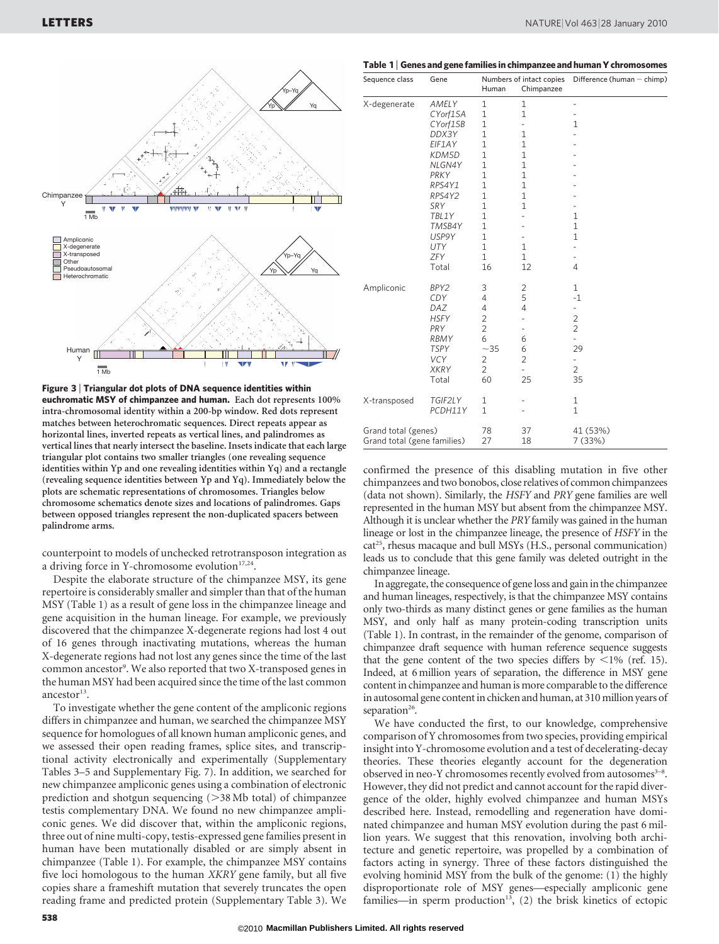

Figure 3 <sup>|</sup> Triangular dot plots of DNA sequence identities within euchromatic MSY of chimpanzee and human. Each dot represents 100% intra-chromosomal identity within a 200-bp window. Red dots represent matches between heterochromatic sequences. Direct repeats appear as horizontal lines, inverted repeats as vertical lines, and palindromes as vertical lines that nearly intersect the baseline. Insets indicate that each large triangular plot contains two smaller triangles (one revealing sequence identities within Yp and one revealing identities within Yq) and a rectangle (revealing sequence identities between Yp and Yq). Immediately below the plots are schematic representations of chromosomes. Triangles below chromosome schematics denote sizes and locations of palindromes. Gaps between opposed triangles represent the non-duplicated spacers between palindrome arms.

counterpoint to models of unchecked retrotransposon integration as a driving force in Y-chromosome evolution<sup>17,24</sup>.

Despite the elaborate structure of the chimpanzee MSY, its gene repertoire is considerably smaller and simpler than that of the human MSY (Table 1) as a result of gene loss in the chimpanzee lineage and gene acquisition in the human lineage. For example, we previously discovered that the chimpanzee X-degenerate regions had lost 4 out of 16 genes through inactivating mutations, whereas the human X-degenerate regions had not lost any genes since the time of the last common ancestor<sup>9</sup>. We also reported that two X-transposed genes in the human MSY had been acquired since the time of the last common ancestor $13$ .

To investigate whether the gene content of the ampliconic regions differs in chimpanzee and human, we searched the chimpanzee MSY sequence for homologues of all known human ampliconic genes, and we assessed their open reading frames, splice sites, and transcriptional activity electronically and experimentally (Supplementary Tables 3–5 and Supplementary Fig. 7). In addition, we searched for new chimpanzee ampliconic genes using a combination of electronic prediction and shotgun sequencing  $(>38$  Mb total) of chimpanzee testis complementary DNA. We found no new chimpanzee ampliconic genes. We did discover that, within the ampliconic regions, three out of nine multi-copy, testis-expressed gene families present in human have been mutationally disabled or are simply absent in chimpanzee (Table 1). For example, the chimpanzee MSY contains five loci homologous to the human XKRY gene family, but all five copies share a frameshift mutation that severely truncates the open reading frame and predicted protein (Supplementary Table 3). We

| Sequence class | Gene         | <b>Human</b> | Chimpanzee | Numbers of intact copies Difference (human $-$ chimp) |  |  |
|----------------|--------------|--------------|------------|-------------------------------------------------------|--|--|
| X-degenerate   | <b>AMELY</b> |              |            |                                                       |  |  |
|                | CY orf15A    |              |            |                                                       |  |  |

Table 1 <sup>|</sup> Genes and gene families in chimpanzee and human Y chromosomes

| X-degenerate                                       | AMELY<br>CYorf15A<br>CYorf15B<br>DDX3Y<br>EIF1AY<br><b>KDM5D</b><br>NLGN4Y<br>PRKY<br>RPS4Y1<br>RPS4Y2<br>SRY<br>TBL1Y<br>TMSB4Y<br>USP9Y<br><b>UTY</b><br>ZFY<br>Total | 1<br>$\mathbf{1}$<br>$\mathbf{1}$<br>$\mathbf{1}$<br>$\mathbf{1}$<br>$\mathbf{1}$<br>$\mathbf{1}$<br>$\mathbf{1}$<br>$\overline{1}$<br>$\mathbf{1}$<br>$\mathbf{1}$<br>$\mathbf{1}$<br>$\mathbf{1}$<br>$\mathbf{1}$<br>$\mathbf{1}$<br>$\mathbf{1}$<br>16 | 1<br>$\mathbf{1}$<br>$\overline{\phantom{0}}$<br>$\mathbf{1}$<br>$\mathbf{1}$<br>$\mathbf{1}$<br>$\mathbf{1}$<br>$\mathbf{1}$<br>$\mathbf{1}$<br>$\mathbf{1}$<br>$\mathbf{1}$<br>-<br>-<br>-<br>$\mathbf{1}$<br>$\mathbf{1}$<br>12 | $\overline{\phantom{0}}$<br>-<br>$\mathbf 1$<br>$\overline{a}$<br>$\overline{\phantom{0}}$<br>٠<br>$\mathbf{1}$<br>$\mathbf{1}$<br>$\mathbf{1}$<br>$\overline{\phantom{0}}$<br>$\overline{a}$<br>$\overline{4}$ |
|----------------------------------------------------|-------------------------------------------------------------------------------------------------------------------------------------------------------------------------|-----------------------------------------------------------------------------------------------------------------------------------------------------------------------------------------------------------------------------------------------------------|------------------------------------------------------------------------------------------------------------------------------------------------------------------------------------------------------------------------------------|-----------------------------------------------------------------------------------------------------------------------------------------------------------------------------------------------------------------|
| Ampliconic                                         | BPY2<br>CDY<br>DAZ<br><b>HSFY</b><br>PRY<br>RBMY<br><b>TSPY</b><br><b>VCY</b><br><b>XKRY</b><br>Total                                                                   | 3<br>4<br>4<br>$\overline{2}$<br>$\overline{2}$<br>6<br>$~1$ – 35<br>2<br>$\overline{2}$<br>60                                                                                                                                                            | $\overline{2}$<br>5<br>4<br>$\overline{\phantom{0}}$<br>6<br>6<br>$\overline{2}$<br>$\overline{\phantom{0}}$<br>25                                                                                                                 | $\mathbf{1}$<br>$-1$<br>2<br>$\overline{2}$<br>$\overline{\phantom{0}}$<br>29<br>$\overline{\phantom{0}}$<br>$\overline{2}$<br>35                                                                               |
| X-transposed                                       | TGIF2LY<br>PCDH11Y                                                                                                                                                      | $\mathbf{1}$<br>$\mathbf{1}$                                                                                                                                                                                                                              | -                                                                                                                                                                                                                                  | $\mathbf{1}$<br>$\mathbf{1}$                                                                                                                                                                                    |
| Grand total (genes)<br>Grand total (gene families) |                                                                                                                                                                         | 78<br>27                                                                                                                                                                                                                                                  | 37<br>18                                                                                                                                                                                                                           | 41 (53%)<br>7 (33%)                                                                                                                                                                                             |

confirmed the presence of this disabling mutation in five other chimpanzees and two bonobos, close relatives of common chimpanzees (data not shown). Similarly, the HSFY and PRY gene families are well represented in the human MSY but absent from the chimpanzee MSY. Although it is unclear whether the PRY family was gained in the human lineage or lost in the chimpanzee lineage, the presence of HSFY in the  $cat^{25}$ , rhesus macaque and bull MSYs (H.S., personal communication) leads us to conclude that this gene family was deleted outright in the chimpanzee lineage.

In aggregate, the consequence of gene loss and gain in the chimpanzee and human lineages, respectively, is that the chimpanzee MSY contains only two-thirds as many distinct genes or gene families as the human MSY, and only half as many protein-coding transcription units (Table 1). In contrast, in the remainder of the genome, comparison of chimpanzee draft sequence with human reference sequence suggests that the gene content of the two species differs by  $\langle 1\% \rangle$  (ref. 15). Indeed, at 6 million years of separation, the difference in MSY gene content in chimpanzee and human is more comparable to the difference in autosomal gene content in chicken and human, at 310 million years of separation $26$ .

We have conducted the first, to our knowledge, comprehensive comparison of Y chromosomes from two species, providing empirical insight into Y-chromosome evolution and a test of decelerating-decay theories. These theories elegantly account for the degeneration observed in neo-Y chromosomes recently evolved from autosomes<sup>3-8</sup>. However, they did not predict and cannot account for the rapid divergence of the older, highly evolved chimpanzee and human MSYs described here. Instead, remodelling and regeneration have dominated chimpanzee and human MSY evolution during the past 6 million years. We suggest that this renovation, involving both architecture and genetic repertoire, was propelled by a combination of factors acting in synergy. Three of these factors distinguished the evolving hominid MSY from the bulk of the genome: (1) the highly disproportionate role of MSY genes—especially ampliconic gene families—in sperm production<sup>13</sup>,  $(2)$  the brisk kinetics of ectopic